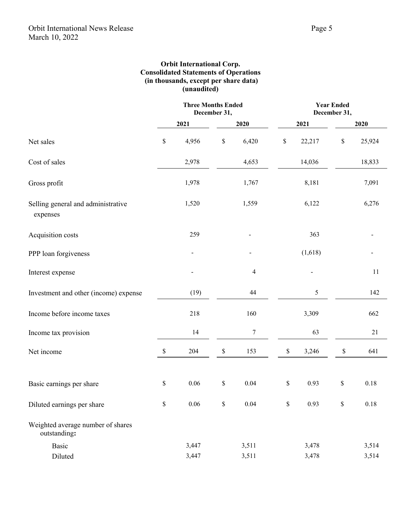## **Orbit International Corp. Consolidated Statements of Operations (in thousands, except per share data) (unaudited)**

|                                                   | <b>Three Months Ended</b><br>December 31, |          |      | <b>Year Ended</b><br>December 31, |      |         |              |        |
|---------------------------------------------------|-------------------------------------------|----------|------|-----------------------------------|------|---------|--------------|--------|
|                                                   |                                           | 2021     |      | 2020                              |      | 2021    |              | 2020   |
| Net sales                                         | \$                                        | 4,956    | $\$$ | 6,420                             | \$   | 22,217  | $\mathbb{S}$ | 25,924 |
| Cost of sales                                     |                                           | 2,978    |      | 4,653                             |      | 14,036  |              | 18,833 |
| Gross profit                                      |                                           | 1,978    |      | 1,767                             |      | 8,181   |              | 7,091  |
| Selling general and administrative<br>expenses    |                                           | 1,520    |      | 1,559                             |      | 6,122   |              | 6,276  |
| Acquisition costs                                 |                                           | 259      |      |                                   |      | 363     |              |        |
| PPP loan forgiveness                              |                                           |          |      |                                   |      | (1,618) |              |        |
| Interest expense                                  |                                           |          |      | $\overline{4}$                    |      |         |              | 11     |
| Investment and other (income) expense             |                                           | (19)     |      | 44                                |      | 5       |              | 142    |
| Income before income taxes                        |                                           | 218      |      | 160                               |      | 3,309   |              | 662    |
| Income tax provision                              |                                           | 14       |      | 7                                 |      | 63      |              | 21     |
| Net income                                        | \$                                        | 204      | \$   | 153                               | $\$$ | 3,246   | \$           | 641    |
| Basic earnings per share                          | \$                                        | 0.06     | \$   | 0.04                              | \$   | 0.93    | \$           | 0.18   |
| Diluted earnings per share                        | \$                                        | $0.06\,$ | \$   | 0.04                              | \$   | 0.93    | \$           | 0.18   |
| Weighted average number of shares<br>outstanding: |                                           |          |      |                                   |      |         |              |        |
| <b>Basic</b>                                      |                                           | 3,447    |      | 3,511                             |      | 3,478   |              | 3,514  |
| Diluted                                           |                                           | 3,447    |      | 3,511                             |      | 3,478   |              | 3,514  |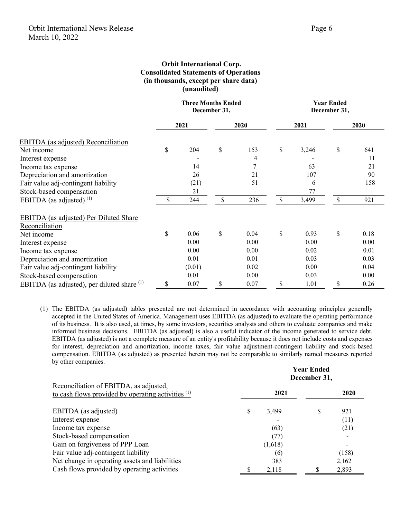**Year Ended**

## **Orbit International Corp. Consolidated Statements of Operations (in thousands, except per share data) (unaudited)**

|                                                        | <b>Three Months Ended</b><br>December 31, |        |      | <b>Year Ended</b><br>December 31, |      |       |      |      |
|--------------------------------------------------------|-------------------------------------------|--------|------|-----------------------------------|------|-------|------|------|
|                                                        | 2021                                      |        | 2020 |                                   | 2021 |       | 2020 |      |
| <b>EBITDA</b> (as adjusted) Reconciliation             |                                           |        |      |                                   |      |       |      |      |
| Net income                                             | \$                                        | 204    | \$   | 153                               | \$   | 3,246 | \$   | 641  |
| Interest expense                                       |                                           |        |      | 4                                 |      |       |      | 11   |
| Income tax expense                                     |                                           | 14     |      | 7                                 |      | 63    |      | 21   |
| Depreciation and amortization                          |                                           | 26     |      | 21                                |      | 107   |      | 90   |
| Fair value adj-contingent liability                    |                                           | (21)   |      | 51                                |      | 6     |      | 158  |
| Stock-based compensation                               |                                           | 21     |      | $\overline{\phantom{0}}$          |      | 77    |      |      |
| EBITDA (as adjusted) $(1)$                             | \$                                        | 244    | \$   | 236                               | \$   | 3,499 | \$   | 921  |
| <b>EBITDA</b> (as adjusted) Per Diluted Share          |                                           |        |      |                                   |      |       |      |      |
| Reconciliation                                         |                                           |        |      |                                   |      |       |      |      |
| Net income                                             | \$                                        | 0.06   | \$   | 0.04                              | \$   | 0.93  | \$   | 0.18 |
| Interest expense                                       |                                           | 0.00   |      | 0.00                              |      | 0.00  |      | 0.00 |
| Income tax expense                                     |                                           | 0.00   |      | 0.00                              |      | 0.02  |      | 0.01 |
| Depreciation and amortization                          |                                           | 0.01   |      | 0.01                              |      | 0.03  |      | 0.03 |
| Fair value adj-contingent liability                    |                                           | (0.01) |      | 0.02                              |      | 0.00  |      | 0.04 |
| Stock-based compensation                               |                                           | 0.01   |      | 0.00                              |      | 0.03  |      | 0.00 |
| EBITDA (as adjusted), per diluted share <sup>(1)</sup> | \$                                        | 0.07   | \$   | 0.07                              | \$   | 1.01  | \$   | 0.26 |

(1) The EBITDA (as adjusted) tables presented are not determined in accordance with accounting principles generally accepted in the United States of America. Management uses EBITDA (as adjusted) to evaluate the operating performance of its business. It is also used, at times, by some investors, securities analysts and others to evaluate companies and make informed business decisions. EBITDA (as adjusted) is also a useful indicator of the income generated to service debt. EBITDA (as adjusted) is not a complete measure of an entity's profitability because it does not include costs and expenses for interest, depreciation and amortization, income taxes, fair value adjustment-contingent liability and stock-based compensation. EBITDA (as adjusted) as presented herein may not be comparable to similarly named measures reported by other companies.

|                                                                                                | December 31, |         |    |       |  |  |
|------------------------------------------------------------------------------------------------|--------------|---------|----|-------|--|--|
| Reconciliation of EBITDA, as adjusted,<br>to cash flows provided by operating activities $(1)$ |              | 2021    |    | 2020  |  |  |
| EBITDA (as adjusted)                                                                           | S            | 3,499   | \$ | 921   |  |  |
| Interest expense                                                                               |              |         |    | (11)  |  |  |
| Income tax expense                                                                             |              | (63)    |    | (21)  |  |  |
| Stock-based compensation                                                                       |              | (77)    |    |       |  |  |
| Gain on forgiveness of PPP Loan                                                                |              | (1,618) |    |       |  |  |
| Fair value adj-contingent liability                                                            |              | (6)     |    | (158) |  |  |
| Net change in operating assets and liabilities                                                 |              | 383     |    | 2,162 |  |  |
| Cash flows provided by operating activities                                                    |              | 2,118   |    | 2,893 |  |  |